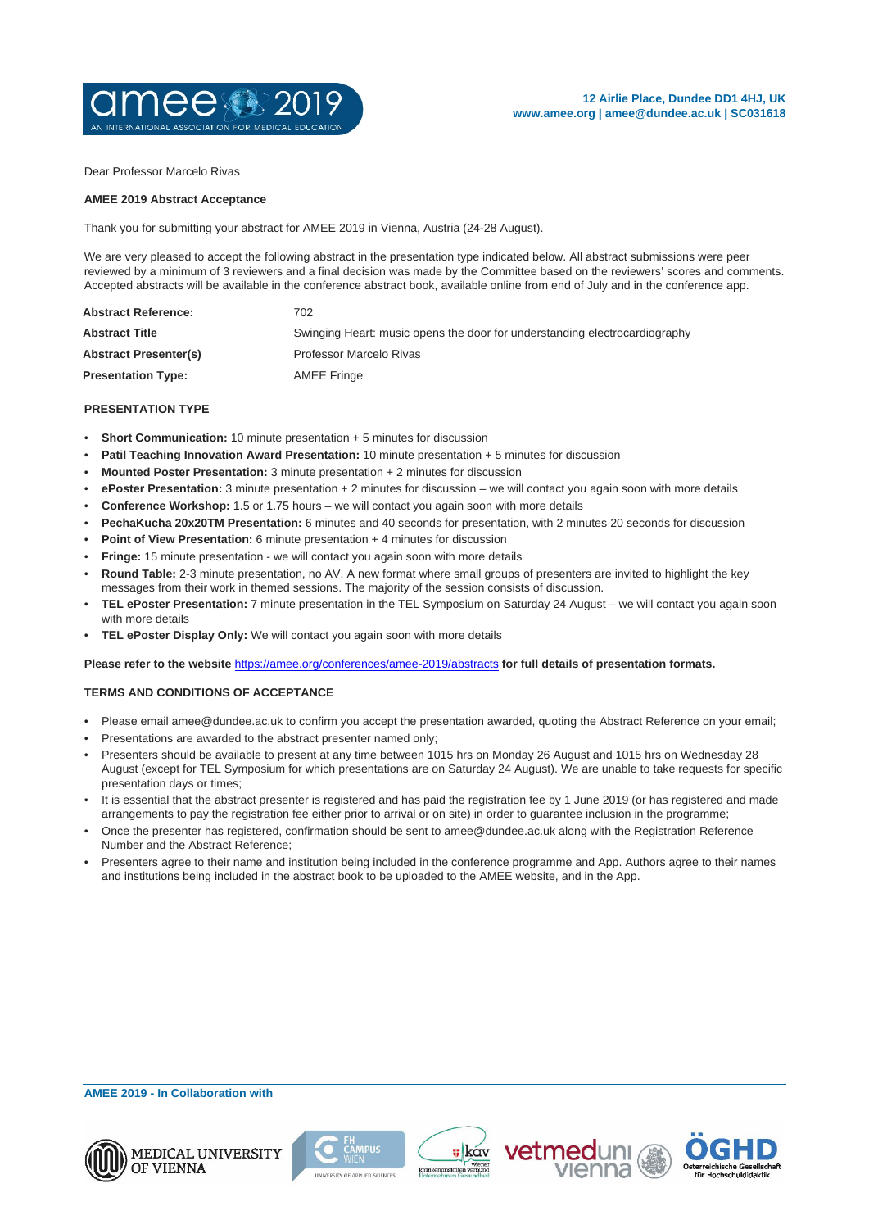

Dear Professor Marcelo Rivas

## **AMEE 2019 Abstract Acceptance**

Thank you for submitting your abstract for AMEE 2019 in Vienna, Austria (24-28 August).

We are very pleased to accept the following abstract in the presentation type indicated below. All abstract submissions were peer reviewed by a minimum of 3 reviewers and a final decision was made by the Committee based on the reviewers' scores and comments. Accepted abstracts will be available in the conference abstract book, available online from end of July and in the conference app.

| <b>Abstract Reference:</b>   | 702                                                                        |
|------------------------------|----------------------------------------------------------------------------|
| <b>Abstract Title</b>        | Swinging Heart: music opens the door for understanding electrocardiography |
| <b>Abstract Presenter(s)</b> | Professor Marcelo Rivas                                                    |
| <b>Presentation Type:</b>    | AMEE Fringe                                                                |

## **PRESENTATION TYPE**

- **Short Communication:** 10 minute presentation + 5 minutes for discussion
- **Patil Teaching Innovation Award Presentation:** 10 minute presentation + 5 minutes for discussion
- **Mounted Poster Presentation:** 3 minute presentation + 2 minutes for discussion
- **ePoster Presentation:** 3 minute presentation + 2 minutes for discussion we will contact you again soon with more details
- **Conference Workshop:** 1.5 or 1.75 hours we will contact you again soon with more details
- **PechaKucha 20x20TM Presentation:** 6 minutes and 40 seconds for presentation, with 2 minutes 20 seconds for discussion
- **Point of View Presentation:** 6 minute presentation + 4 minutes for discussion
- **Fringe:** 15 minute presentation we will contact you again soon with more details
- **Round Table:** 2-3 minute presentation, no AV. A new format where small groups of presenters are invited to highlight the key messages from their work in themed sessions. The majority of the session consists of discussion.
- **TEL ePoster Presentation:** 7 minute presentation in the TEL Symposium on Saturday 24 August we will contact you again soon with more details
- **TEL ePoster Display Only:** We will contact you again soon with more details

**Please refer to the website** <https://amee.org/conferences/amee-2019/abstracts> **for full details of presentation formats.**

## **TERMS AND CONDITIONS OF ACCEPTANCE**

- Please email amee@dundee.ac.uk to confirm you accept the presentation awarded, quoting the Abstract Reference on your email;
- Presentations are awarded to the abstract presenter named only;
- Presenters should be available to present at any time between 1015 hrs on Monday 26 August and 1015 hrs on Wednesday 28 August (except for TEL Symposium for which presentations are on Saturday 24 August). We are unable to take requests for specific presentation days or times;
- It is essential that the abstract presenter is registered and has paid the registration fee by 1 June 2019 (or has registered and made arrangements to pay the registration fee either prior to arrival or on site) in order to guarantee inclusion in the programme;
- Once the presenter has registered, confirmation should be sent to amee@dundee.ac.uk along with the Registration Reference Number and the Abstract Reference;
- Presenters agree to their name and institution being included in the conference programme and App. Authors agree to their names and institutions being included in the abstract book to be uploaded to the AMEE website, and in the App.